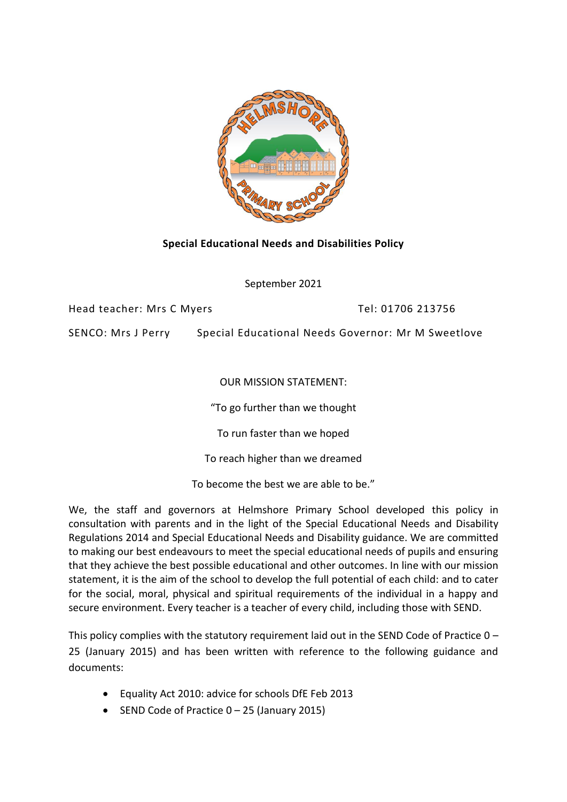

# **Special Educational Needs and Disabilities Policy**

September 2021

Head teacher: Mrs C Myers Tel: 01706 213756

SENCO: Mrs J Perry Special Educational Needs Governor: Mr M Sweetlove

OUR MISSION STATEMENT:

"To go further than we thought

To run faster than we hoped

To reach higher than we dreamed

To become the best we are able to be."

We, the staff and governors at Helmshore Primary School developed this policy in consultation with parents and in the light of the Special Educational Needs and Disability Regulations 2014 and Special Educational Needs and Disability guidance. We are committed to making our best endeavours to meet the special educational needs of pupils and ensuring that they achieve the best possible educational and other outcomes. In line with our mission statement, it is the aim of the school to develop the full potential of each child: and to cater for the social, moral, physical and spiritual requirements of the individual in a happy and secure environment. Every teacher is a teacher of every child, including those with SEND.

This policy complies with the statutory requirement laid out in the SEND Code of Practice 0 – 25 (January 2015) and has been written with reference to the following guidance and documents:

- Equality Act 2010: advice for schools DfE Feb 2013
- SEND Code of Practice  $0 25$  (January 2015)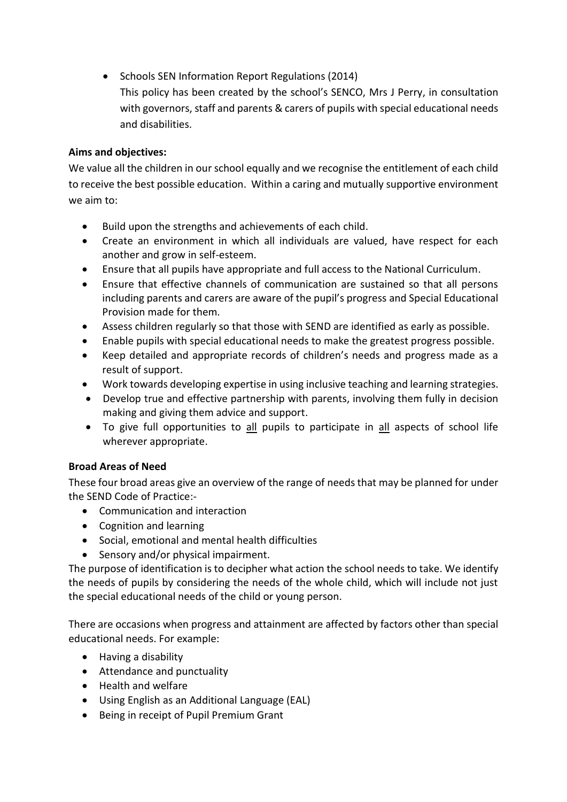- Schools SEN Information Report Regulations (2014)
	- This policy has been created by the school's SENCO, Mrs J Perry, in consultation with governors, staff and parents & carers of pupils with special educational needs and disabilities.

# **Aims and objectives:**

We value all the children in our school equally and we recognise the entitlement of each child to receive the best possible education. Within a caring and mutually supportive environment we aim to:

- Build upon the strengths and achievements of each child.
- Create an environment in which all individuals are valued, have respect for each another and grow in self-esteem.
- Ensure that all pupils have appropriate and full access to the National Curriculum.
- Ensure that effective channels of communication are sustained so that all persons including parents and carers are aware of the pupil's progress and Special Educational Provision made for them.
- Assess children regularly so that those with SEND are identified as early as possible.
- Enable pupils with special educational needs to make the greatest progress possible.
- Keep detailed and appropriate records of children's needs and progress made as a result of support.
- Work towards developing expertise in using inclusive teaching and learning strategies.
- Develop true and effective partnership with parents, involving them fully in decision making and giving them advice and support.
- To give full opportunities to all pupils to participate in all aspects of school life wherever appropriate.

# **Broad Areas of Need**

These four broad areas give an overview of the range of needs that may be planned for under the SEND Code of Practice:-

- Communication and interaction
- Cognition and learning
- Social, emotional and mental health difficulties
- Sensory and/or physical impairment.

The purpose of identification is to decipher what action the school needs to take. We identify the needs of pupils by considering the needs of the whole child, which will include not just the special educational needs of the child or young person.

There are occasions when progress and attainment are affected by factors other than special educational needs. For example:

- Having a disability
- Attendance and punctuality
- Health and welfare
- Using English as an Additional Language (EAL)
- Being in receipt of Pupil Premium Grant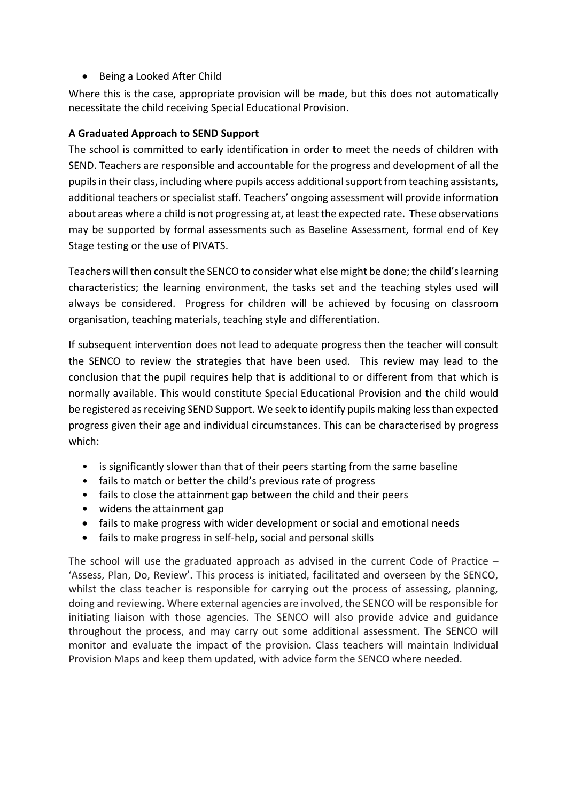• Being a Looked After Child

Where this is the case, appropriate provision will be made, but this does not automatically necessitate the child receiving Special Educational Provision.

# **A Graduated Approach to SEND Support**

The school is committed to early identification in order to meet the needs of children with SEND. Teachers are responsible and accountable for the progress and development of all the pupils in their class, including where pupils access additional support from teaching assistants, additional teachers or specialist staff. Teachers' ongoing assessment will provide information about areas where a child is not progressing at, at least the expected rate. These observations may be supported by formal assessments such as Baseline Assessment, formal end of Key Stage testing or the use of PIVATS.

Teachers will then consult the SENCO to consider what else might be done; the child's learning characteristics; the learning environment, the tasks set and the teaching styles used will always be considered. Progress for children will be achieved by focusing on classroom organisation, teaching materials, teaching style and differentiation.

If subsequent intervention does not lead to adequate progress then the teacher will consult the SENCO to review the strategies that have been used. This review may lead to the conclusion that the pupil requires help that is additional to or different from that which is normally available. This would constitute Special Educational Provision and the child would be registered as receiving SEND Support. We seek to identify pupils making less than expected progress given their age and individual circumstances. This can be characterised by progress which:

- is significantly slower than that of their peers starting from the same baseline
- fails to match or better the child's previous rate of progress
- fails to close the attainment gap between the child and their peers
- widens the attainment gap
- fails to make progress with wider development or social and emotional needs
- fails to make progress in self-help, social and personal skills

The school will use the graduated approach as advised in the current Code of Practice  $-$ 'Assess, Plan, Do, Review'. This process is initiated, facilitated and overseen by the SENCO, whilst the class teacher is responsible for carrying out the process of assessing, planning, doing and reviewing. Where external agencies are involved, the SENCO will be responsible for initiating liaison with those agencies. The SENCO will also provide advice and guidance throughout the process, and may carry out some additional assessment. The SENCO will monitor and evaluate the impact of the provision. Class teachers will maintain Individual Provision Maps and keep them updated, with advice form the SENCO where needed.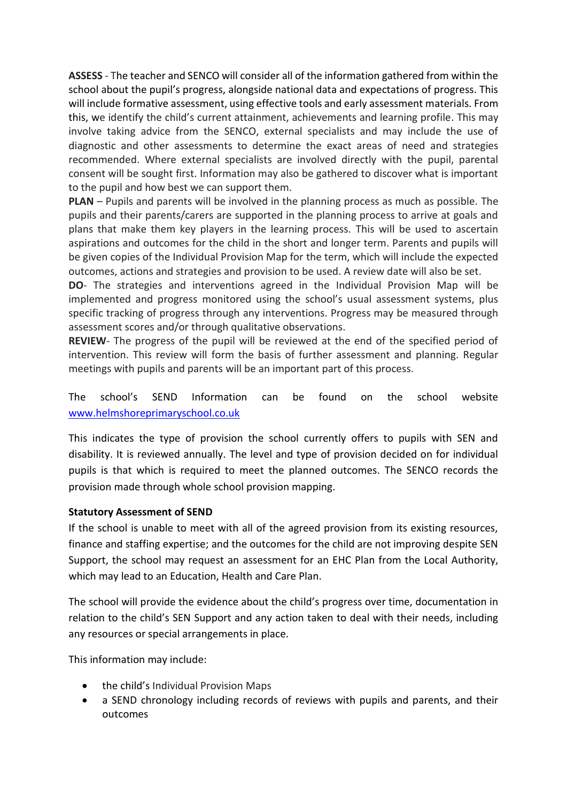**ASSESS** - The teacher and SENCO will consider all of the information gathered from within the school about the pupil's progress, alongside national data and expectations of progress. This will include formative assessment, using effective tools and early assessment materials. From this, we identify the child's current attainment, achievements and learning profile. This may involve taking advice from the SENCO, external specialists and may include the use of diagnostic and other assessments to determine the exact areas of need and strategies recommended. Where external specialists are involved directly with the pupil, parental consent will be sought first. Information may also be gathered to discover what is important to the pupil and how best we can support them.

**PLAN** – Pupils and parents will be involved in the planning process as much as possible. The pupils and their parents/carers are supported in the planning process to arrive at goals and plans that make them key players in the learning process. This will be used to ascertain aspirations and outcomes for the child in the short and longer term. Parents and pupils will be given copies of the Individual Provision Map for the term, which will include the expected outcomes, actions and strategies and provision to be used. A review date will also be set.

**DO**- The strategies and interventions agreed in the Individual Provision Map will be implemented and progress monitored using the school's usual assessment systems, plus specific tracking of progress through any interventions. Progress may be measured through assessment scores and/or through qualitative observations.

**REVIEW**- The progress of the pupil will be reviewed at the end of the specified period of intervention. This review will form the basis of further assessment and planning. Regular meetings with pupils and parents will be an important part of this process.

The school's SEND Information can be found on the school website [www.helmshoreprimaryschool.co.uk](http://www.helmshoreprimaryschool.co.uk/)

This indicates the type of provision the school currently offers to pupils with SEN and disability. It is reviewed annually. The level and type of provision decided on for individual pupils is that which is required to meet the planned outcomes. The SENCO records the provision made through whole school provision mapping.

# **Statutory Assessment of SEND**

If the school is unable to meet with all of the agreed provision from its existing resources, finance and staffing expertise; and the outcomes for the child are not improving despite SEN Support, the school may request an assessment for an EHC Plan from the Local Authority, which may lead to an Education, Health and Care Plan.

The school will provide the evidence about the child's progress over time, documentation in relation to the child's SEN Support and any action taken to deal with their needs, including any resources or special arrangements in place.

This information may include:

- the child's Individual Provision Maps
- a SEND chronology including records of reviews with pupils and parents, and their outcomes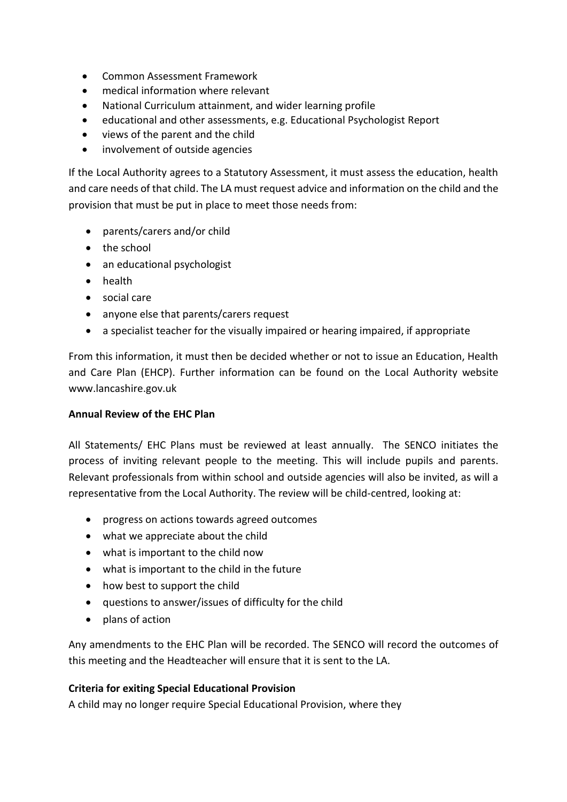- Common Assessment Framework
- medical information where relevant
- National Curriculum attainment, and wider learning profile
- educational and other assessments, e.g. Educational Psychologist Report
- views of the parent and the child
- involvement of outside agencies

If the Local Authority agrees to a Statutory Assessment, it must assess the education, health and care needs of that child. The LA must request advice and information on the child and the provision that must be put in place to meet those needs from:

- parents/carers and/or child
- the school
- an educational psychologist
- health
- social care
- anyone else that parents/carers request
- a specialist teacher for the visually impaired or hearing impaired, if appropriate

From this information, it must then be decided whether or not to issue an Education, Health and Care Plan (EHCP). Further information can be found on the Local Authority website www.lancashire.gov.uk

### **Annual Review of the EHC Plan**

All Statements/ EHC Plans must be reviewed at least annually. The SENCO initiates the process of inviting relevant people to the meeting. This will include pupils and parents. Relevant professionals from within school and outside agencies will also be invited, as will a representative from the Local Authority. The review will be child-centred, looking at:

- progress on actions towards agreed outcomes
- what we appreciate about the child
- what is important to the child now
- what is important to the child in the future
- how best to support the child
- questions to answer/issues of difficulty for the child
- plans of action

Any amendments to the EHC Plan will be recorded. The SENCO will record the outcomes of this meeting and the Headteacher will ensure that it is sent to the LA.

### **Criteria for exiting Special Educational Provision**

A child may no longer require Special Educational Provision, where they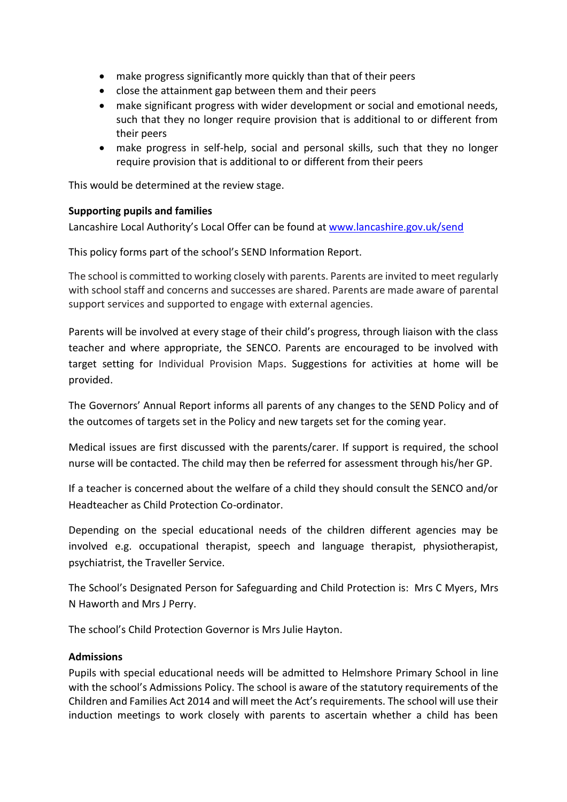- make progress significantly more quickly than that of their peers
- close the attainment gap between them and their peers
- make significant progress with wider development or social and emotional needs, such that they no longer require provision that is additional to or different from their peers
- make progress in self-help, social and personal skills, such that they no longer require provision that is additional to or different from their peers

This would be determined at the review stage.

### **Supporting pupils and families**

Lancashire Local Authority's Local Offer can be found at [www.lancashire.gov.uk/send](http://www.lancashire.gov.uk/send)

This policy forms part of the school's SEND Information Report.

The school is committed to working closely with parents. Parents are invited to meet regularly with school staff and concerns and successes are shared. Parents are made aware of parental support services and supported to engage with external agencies.

Parents will be involved at every stage of their child's progress, through liaison with the class teacher and where appropriate, the SENCO. Parents are encouraged to be involved with target setting for Individual Provision Maps. Suggestions for activities at home will be provided.

The Governors' Annual Report informs all parents of any changes to the SEND Policy and of the outcomes of targets set in the Policy and new targets set for the coming year.

Medical issues are first discussed with the parents/carer. If support is required, the school nurse will be contacted. The child may then be referred for assessment through his/her GP.

If a teacher is concerned about the welfare of a child they should consult the SENCO and/or Headteacher as Child Protection Co-ordinator.

Depending on the special educational needs of the children different agencies may be involved e.g. occupational therapist, speech and language therapist, physiotherapist, psychiatrist, the Traveller Service.

The School's Designated Person for Safeguarding and Child Protection is: Mrs C Myers, Mrs N Haworth and Mrs J Perry.

The school's Child Protection Governor is Mrs Julie Hayton.

### **Admissions**

Pupils with special educational needs will be admitted to Helmshore Primary School in line with the school's Admissions Policy. The school is aware of the statutory requirements of the Children and Families Act 2014 and will meet the Act's requirements. The school will use their induction meetings to work closely with parents to ascertain whether a child has been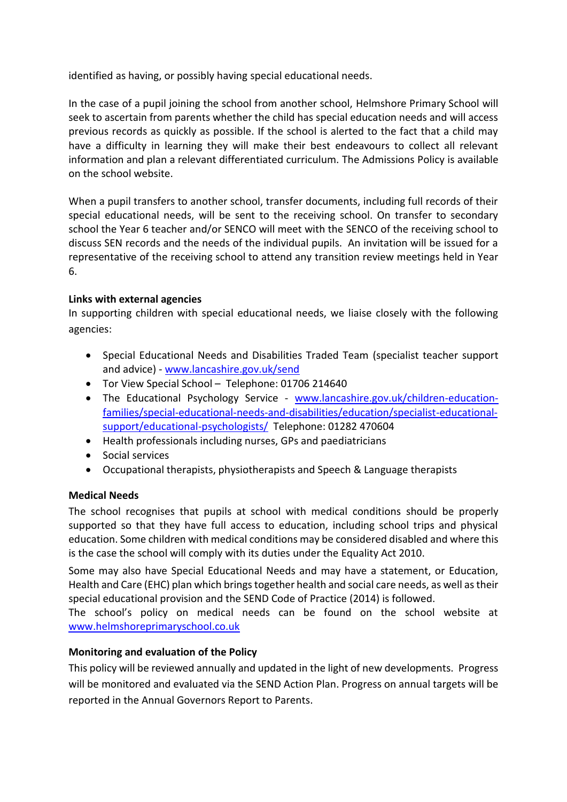identified as having, or possibly having special educational needs.

In the case of a pupil joining the school from another school, Helmshore Primary School will seek to ascertain from parents whether the child has special education needs and will access previous records as quickly as possible. If the school is alerted to the fact that a child may have a difficulty in learning they will make their best endeavours to collect all relevant information and plan a relevant differentiated curriculum. The Admissions Policy is available on the school website.

When a pupil transfers to another school, transfer documents, including full records of their special educational needs, will be sent to the receiving school. On transfer to secondary school the Year 6 teacher and/or SENCO will meet with the SENCO of the receiving school to discuss SEN records and the needs of the individual pupils. An invitation will be issued for a representative of the receiving school to attend any transition review meetings held in Year 6.

# **Links with external agencies**

In supporting children with special educational needs, we liaise closely with the following agencies:

- Special Educational Needs and Disabilities Traded Team (specialist teacher support and advice) - [www.lancashire.gov.uk/send](http://www.lancashire.gov.uk/send)
- Tor View Special School Telephone: 01706 214640
- The Educational Psychology Service [www.lancashire.gov.uk/children-education](http://www.lancashire.gov.uk/children-education-families/special-educational-needs-and-disabilities/education/specialist-educational-support/educational-psychologists/)[families/special-educational-needs-and-disabilities/education/specialist-educational](http://www.lancashire.gov.uk/children-education-families/special-educational-needs-and-disabilities/education/specialist-educational-support/educational-psychologists/)[support/educational-psychologists/](http://www.lancashire.gov.uk/children-education-families/special-educational-needs-and-disabilities/education/specialist-educational-support/educational-psychologists/) Telephone: 01282 470604
- Health professionals including nurses, GPs and paediatricians
- Social services
- Occupational therapists, physiotherapists and Speech & Language therapists

# **Medical Needs**

The school recognises that pupils at school with medical conditions should be properly supported so that they have full access to education, including school trips and physical education. Some children with medical conditions may be considered disabled and where this is the case the school will comply with its duties under the Equality Act 2010.

Some may also have Special Educational Needs and may have a statement, or Education, Health and Care (EHC) plan which brings together health and social care needs, as well as their special educational provision and the SEND Code of Practice (2014) is followed.

The school's policy on medical needs can be found on the school website at [www.helmshoreprimaryschool.co.uk](http://www.helmshoreprimaryschool.co.uk/)

# **Monitoring and evaluation of the Policy**

This policy will be reviewed annually and updated in the light of new developments. Progress will be monitored and evaluated via the SEND Action Plan. Progress on annual targets will be reported in the Annual Governors Report to Parents.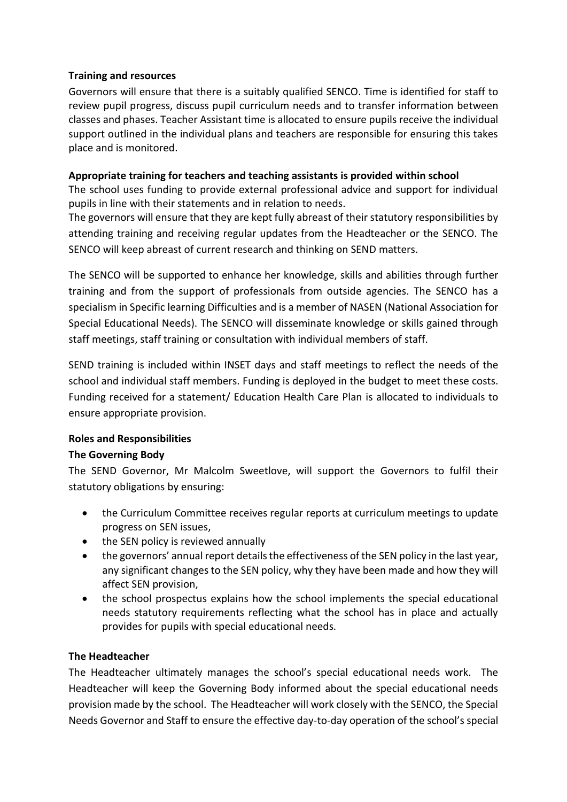# **Training and resources**

Governors will ensure that there is a suitably qualified SENCO. Time is identified for staff to review pupil progress, discuss pupil curriculum needs and to transfer information between classes and phases. Teacher Assistant time is allocated to ensure pupils receive the individual support outlined in the individual plans and teachers are responsible for ensuring this takes place and is monitored.

## **Appropriate training for teachers and teaching assistants is provided within school**

The school uses funding to provide external professional advice and support for individual pupils in line with their statements and in relation to needs.

The governors will ensure that they are kept fully abreast of their statutory responsibilities by attending training and receiving regular updates from the Headteacher or the SENCO. The SENCO will keep abreast of current research and thinking on SEND matters.

The SENCO will be supported to enhance her knowledge, skills and abilities through further training and from the support of professionals from outside agencies. The SENCO has a specialism in Specific learning Difficulties and is a member of NASEN (National Association for Special Educational Needs). The SENCO will disseminate knowledge or skills gained through staff meetings, staff training or consultation with individual members of staff.

SEND training is included within INSET days and staff meetings to reflect the needs of the school and individual staff members. Funding is deployed in the budget to meet these costs. Funding received for a statement/ Education Health Care Plan is allocated to individuals to ensure appropriate provision.

# **Roles and Responsibilities**

# **The Governing Body**

The SEND Governor, Mr Malcolm Sweetlove, will support the Governors to fulfil their statutory obligations by ensuring:

- the Curriculum Committee receives regular reports at curriculum meetings to update progress on SEN issues,
- the SEN policy is reviewed annually
- the governors' annual report details the effectiveness of the SEN policy in the last year, any significant changes to the SEN policy, why they have been made and how they will affect SEN provision,
- the school prospectus explains how the school implements the special educational needs statutory requirements reflecting what the school has in place and actually provides for pupils with special educational needs.

# **The Headteacher**

The Headteacher ultimately manages the school's special educational needs work. The Headteacher will keep the Governing Body informed about the special educational needs provision made by the school. The Headteacher will work closely with the SENCO, the Special Needs Governor and Staff to ensure the effective day-to-day operation of the school's special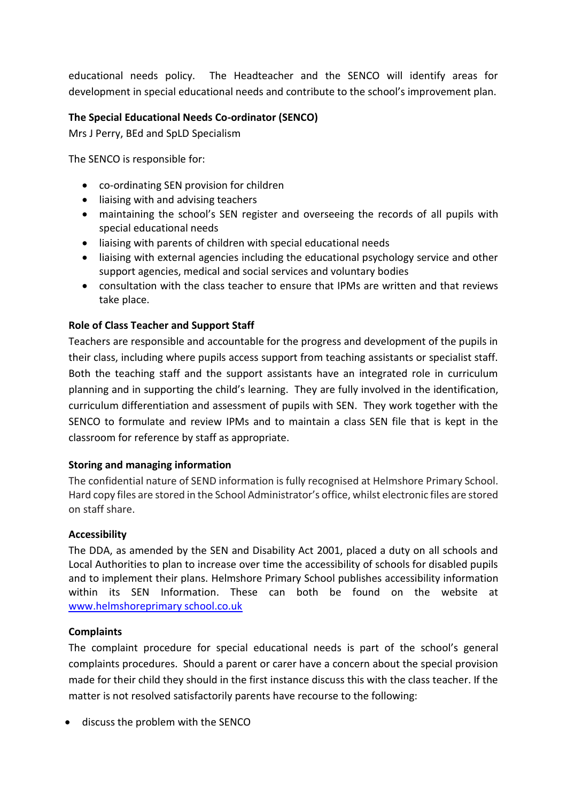educational needs policy. The Headteacher and the SENCO will identify areas for development in special educational needs and contribute to the school's improvement plan.

# **The Special Educational Needs Co-ordinator (SENCO)**

Mrs J Perry, BEd and SpLD Specialism

The SENCO is responsible for:

- co-ordinating SEN provision for children
- liaising with and advising teachers
- maintaining the school's SEN register and overseeing the records of all pupils with special educational needs
- liaising with parents of children with special educational needs
- liaising with external agencies including the educational psychology service and other support agencies, medical and social services and voluntary bodies
- consultation with the class teacher to ensure that IPMs are written and that reviews take place.

# **Role of Class Teacher and Support Staff**

Teachers are responsible and accountable for the progress and development of the pupils in their class, including where pupils access support from teaching assistants or specialist staff. Both the teaching staff and the support assistants have an integrated role in curriculum planning and in supporting the child's learning. They are fully involved in the identification, curriculum differentiation and assessment of pupils with SEN. They work together with the SENCO to formulate and review IPMs and to maintain a class SEN file that is kept in the classroom for reference by staff as appropriate.

# **Storing and managing information**

The confidential nature of SEND information is fully recognised at Helmshore Primary School. Hard copy files are stored in the School Administrator's office, whilst electronic files are stored on staff share.

### **Accessibility**

The DDA, as amended by the SEN and Disability Act 2001, placed a duty on all schools and Local Authorities to plan to increase over time the accessibility of schools for disabled pupils and to implement their plans. Helmshore Primary School publishes accessibility information within its SEN Information. These can both be found on the website at www.helmshoreprimary school.co.uk

# **Complaints**

The complaint procedure for special educational needs is part of the school's general complaints procedures. Should a parent or carer have a concern about the special provision made for their child they should in the first instance discuss this with the class teacher. If the matter is not resolved satisfactorily parents have recourse to the following:

discuss the problem with the SENCO